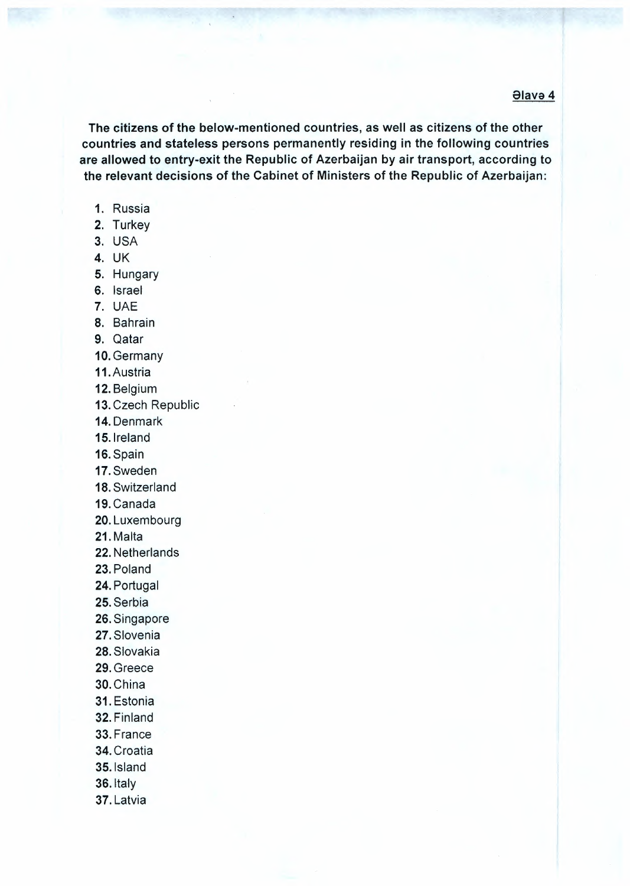**Əlavə 4** 

The citizens of the below-mentioned countries, as well as citizens of the other countries and stateless persons permanently residing in the following countries are allowed to entry-exit the Republic of Azerbaijan by air transport, according to the relevant decisions of the Cabinet of Ministers of the Republic of Azerbaijan:

- 1. Russia
- 2. Turkey
- 3. USA
- 4. UK
- 5. Hungary
- 6. Israel
- 7. UAE
- 8. Bahrain
- 9. Qatar
- 10. Germany
- 11. Austria
- 12. Belgium
- 13. Czech Republic
- 14. Denmark
- 15. Ireland
- 16. Spain
- 17. Sweden
- 18. Switzerland
- 19. Canada
- 20. Luxembourg
- 21. Malta
- 22. Netherlands
- 23. Poland
- 24. Portugal
- 25. Serbia
- 26. Singapore
- 27. Slovenia
- 28. Slovakia
- 29. Greece
- 30. China
- 31. Estonia
- 32. Finland
- 33. France
- 34. Croatia
- 
- 35. Island
- 36. Italy
- 37. Latvia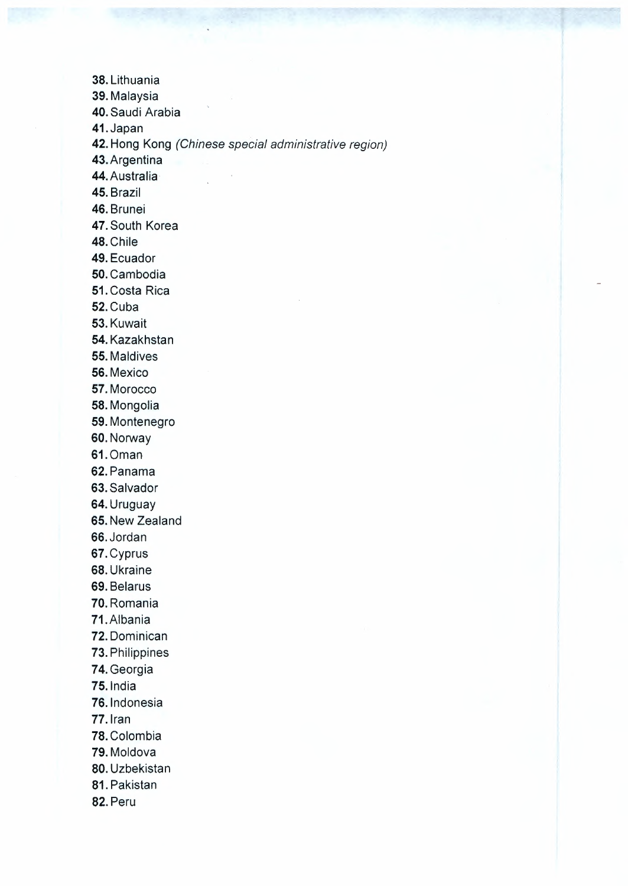**38.** Lithuania **39.** Malaysia **40.** Saudi Arabia **41.** Japan **42.** Hong Kong *(Chinese special administrative region)* **43.** Argentina **44.** Australia **45.** Brazil **46.** Brunei **47.** South Korea 48.Chile **49.** Ecuador **50.** Cambodia **51.** Costa Rica 52.Cuba 53.Kuwait **54.** Kazakhstan **55.** Maldives 56.Mexico **57.** Morocco **58.** Mongolia **59.** Montenegro 60.Norway 61.Oman 62.Panama **63.** Salvador **64.** Uruguay **65.** New Zealand 66.Jordan 67.Cyprus **68.** Ukraine **69.** Belarus **70.** Romania 71.Albania **72.** Dominican **73.** Philippines **74.** Georgia **75.** lndia **76.** lndonesia **77.** Iran **78.** Colombia 79.Moldova **80.** Uzbekistan **81.** Pakistan **82.** Peru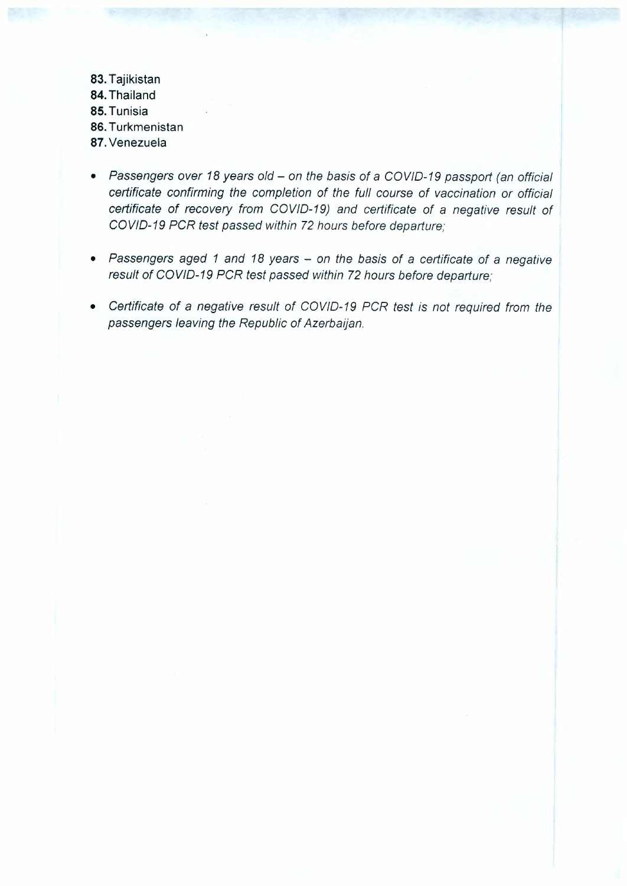**83. Tajikistan 84. Thailand 85. Tunisia 86. Turkmenistan 87. Venezuela**

- *• Passengers over <sup>18</sup> years old - on the basis of* <sup>a</sup> *COVID-19 passport (an official certificate confirming the completion of the fu/I course of vaccination or official certificate of recovery from COV/0-19) and certificate of* a *negative result of COV/0-19 PCR test passed within <sup>72</sup> hours before departure;*
- *• Passengers aged <sup>1</sup> and <sup>18</sup> years - on the basis of* <sup>a</sup> *certificate of* <sup>a</sup> *negative result of COV/0-19 PCR test passed within <sup>72</sup> hours before departure;*
- *• Certificate of* a *negative result of COV/0-19 PCR test is not required from the passengers leaving the Republic of Azerbaijan.*